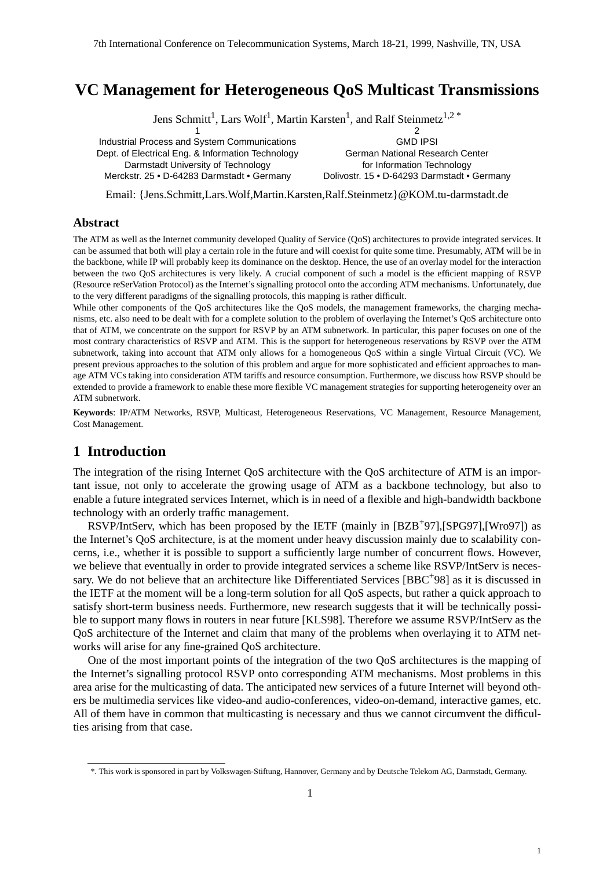# **VC Management for Heterogeneous QoS Multicast Transmissions**

Jens Schmitt<sup>1</sup>, Lars Wolf<sup>1</sup>, Martin Karsten<sup>1</sup>, and Ralf Steinmetz<sup>1,2\*</sup>

Industrial Process and System Communications Dept. of Electrical Eng. & Information Technology Darmstadt University of Technology Merckstr. 25 • D-64283 Darmstadt • Germany

1

2 GMD IPSI German National Research Center for Information Technology Dolivostr. 15 • D-64293 Darmstadt • Germany

Email: {Jens.Schmitt,Lars.Wolf,Martin.Karsten,Ralf.Steinmetz}@KOM.tu-darmstadt.de

#### **Abstract**

The ATM as well as the Internet community developed Quality of Service (QoS) architectures to provide integrated services. It can be assumed that both will play a certain role in the future and will coexist for quite some time. Presumably, ATM will be in the backbone, while IP will probably keep its dominance on the desktop. Hence, the use of an overlay model for the interaction between the two QoS architectures is very likely. A crucial component of such a model is the efficient mapping of RSVP (Resource reSerVation Protocol) as the Internet's signalling protocol onto the according ATM mechanisms. Unfortunately, due to the very different paradigms of the signalling protocols, this mapping is rather difficult.

While other components of the QoS architectures like the QoS models, the management frameworks, the charging mechanisms, etc. also need to be dealt with for a complete solution to the problem of overlaying the Internet's QoS architecture onto that of ATM, we concentrate on the support for RSVP by an ATM subnetwork. In particular, this paper focuses on one of the most contrary characteristics of RSVP and ATM. This is the support for heterogeneous reservations by RSVP over the ATM subnetwork, taking into account that ATM only allows for a homogeneous QoS within a single Virtual Circuit (VC). We present previous approaches to the solution of this problem and argue for more sophisticated and efficient approaches to manage ATM VCs taking into consideration ATM tariffs and resource consumption. Furthermore, we discuss how RSVP should be extended to provide a framework to enable these more flexible VC management strategies for supporting heterogeneity over an ATM subnetwork.

**Keywords**: IP/ATM Networks, RSVP, Multicast, Heterogeneous Reservations, VC Management, Resource Management, Cost Management.

## **1 Introduction**

The integration of the rising Internet QoS architecture with the QoS architecture of ATM is an important issue, not only to accelerate the growing usage of ATM as a backbone technology, but also to enable a future integrated services Internet, which is in need of a flexible and high-bandwidth backbone technology with an orderly traffic management.

RSVP/IntServ, which has been proposed by the IETF (mainly in [BZB<sup>+</sup>97],[SPG97],[Wro97]) as the Internet's QoS architecture, is at the moment under heavy discussion mainly due to scalability concerns, i.e., whether it is possible to support a sufficiently large number of concurrent flows. However, we believe that eventually in order to provide integrated services a scheme like RSVP/IntServ is necessary. We do not believe that an architecture like Differentiated Services [BBC+98] as it is discussed in the IETF at the moment will be a long-term solution for all QoS aspects, but rather a quick approach to satisfy short-term business needs. Furthermore, new research suggests that it will be technically possible to support many flows in routers in near future [KLS98]. Therefore we assume RSVP/IntServ as the QoS architecture of the Internet and claim that many of the problems when overlaying it to ATM networks will arise for any fine-grained QoS architecture.

One of the most important points of the integration of the two QoS architectures is the mapping of the Internet's signalling protocol RSVP onto corresponding ATM mechanisms. Most problems in this area arise for the multicasting of data. The anticipated new services of a future Internet will beyond others be multimedia services like video-and audio-conferences, video-on-demand, interactive games, etc. All of them have in common that multicasting is necessary and thus we cannot circumvent the difficulties arising from that case.

<sup>\*.</sup> This work is sponsored in part by Volkswagen-Stiftung, Hannover, Germany and by Deutsche Telekom AG, Darmstadt, Germany.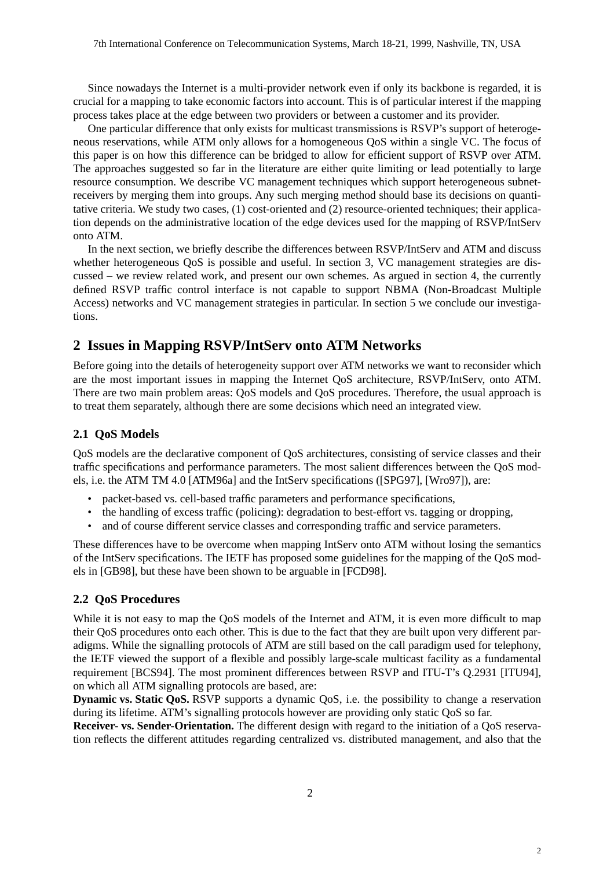<span id="page-1-0"></span>Since nowadays the Internet is a multi-provider network even if only its backbone is regarded, it is crucial for a mapping to take economic factors into account. This is of particular interest if the mapping process takes place at the edge between two providers or between a customer and its provider.

One particular difference that only exists for multicast transmissions is RSVP's support of heterogeneous reservations, while ATM only allows for a homogeneous QoS within a single VC. The focus of this paper is on how this difference can be bridged to allow for efficient support of RSVP over ATM. The approaches suggested so far in the literature are either quite limiting or lead potentially to large resource consumption. We describe VC management techniques which support heterogeneous subnetreceivers by merging them into groups. Any such merging method should base its decisions on quantitative criteria. We study two cases, (1) cost-oriented and (2) resource-oriented techniques; their application depends on the administrative location of the edge devices used for the mapping of RSVP/IntServ onto ATM.

In the next section, we briefly describe the differences between RSVP/IntServ and ATM and discuss whether heterogeneous QoS is possible and useful. In [section 3,](#page-3-0) VC management strategies are discussed – we review related work, and present our own schemes. As argued in [section 4,](#page-11-0) the currently defined RSVP traffic control interface is not capable to support NBMA (Non-Broadcast Multiple Access) networks and VC management strategies in particular. In [section 5](#page-12-0) we conclude our investigations.

## **2 Issues in Mapping RSVP/IntServ onto ATM Networks**

Before going into the details of heterogeneity support over ATM networks we want to reconsider which are the most important issues in mapping the Internet QoS architecture, RSVP/IntServ, onto ATM. There are two main problem areas: QoS models and QoS procedures. Therefore, the usual approach is to treat them separately, although there are some decisions which need an integrated view.

## **2.1 QoS Models**

QoS models are the declarative component of QoS architectures, consisting of service classes and their traffic specifications and performance parameters. The most salient differences between the QoS models, i.e. the ATM TM 4.0 [ATM96a] and the IntServ specifications ([SPG97], [Wro97]), are:

- packet-based vs. cell-based traffic parameters and performance specifications,
- the handling of excess traffic (policing): degradation to best-effort vs. tagging or dropping,
- and of course different service classes and corresponding traffic and service parameters.

These differences have to be overcome when mapping IntServ onto ATM without losing the semantics of the IntServ specifications. The IETF has proposed some guidelines for the mapping of the QoS models in [GB98], but these have been shown to be arguable in [FCD98].

### **2.2 QoS Procedures**

While it is not easy to map the QoS models of the Internet and ATM, it is even more difficult to map their QoS procedures onto each other. This is due to the fact that they are built upon very different paradigms. While the signalling protocols of ATM are still based on the call paradigm used for telephony, the IETF viewed the support of a flexible and possibly large-scale multicast facility as a fundamental requirement [BCS94]. The most prominent differences between RSVP and ITU-T's Q.2931 [ITU94], on which all ATM signalling protocols are based, are:

**Dynamic vs. Static QoS.** RSVP supports a dynamic QoS, i.e. the possibility to change a reservation during its lifetime. ATM's signalling protocols however are providing only static QoS so far.

**Receiver- vs. Sender-Orientation.** The different design with regard to the initiation of a QoS reservation reflects the different attitudes regarding centralized vs. distributed management, and also that the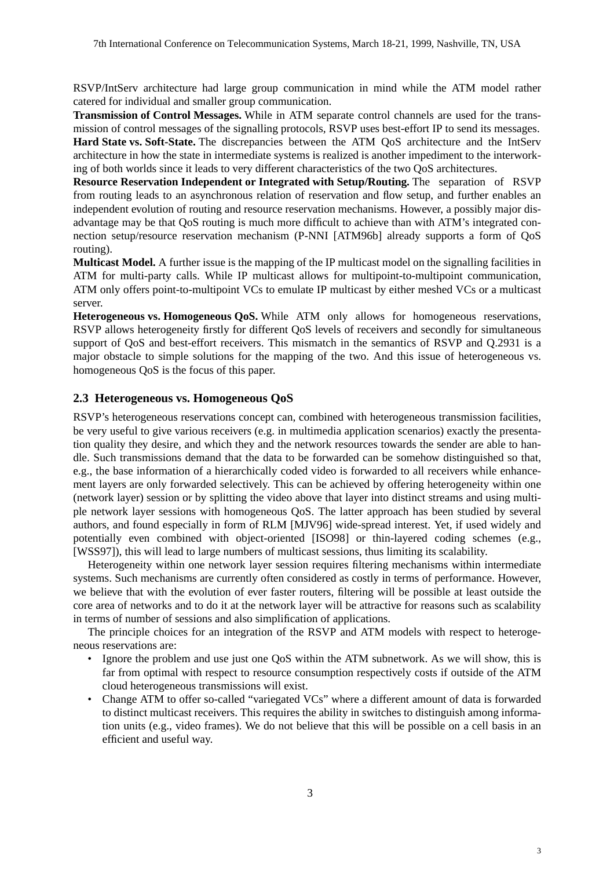RSVP/IntServ architecture had large group communication in mind while the ATM model rather catered for individual and smaller group communication.

**Transmission of Control Messages.** While in ATM separate control channels are used for the transmission of control messages of the signalling protocols, RSVP uses best-effort IP to send its messages. **Hard State vs. Soft-State.** The discrepancies between the ATM QoS architecture and the IntServ architecture in how the state in intermediate systems is realized is another impediment to the interworking of both worlds since it leads to very different characteristics of the two QoS architectures.

**Resource Reservation Independent or Integrated with Setup/Routing.** The separation of RSVP from routing leads to an asynchronous relation of reservation and flow setup, and further enables an independent evolution of routing and resource reservation mechanisms. However, a possibly major disadvantage may be that QoS routing is much more difficult to achieve than with ATM's integrated connection setup/resource reservation mechanism (P-NNI [ATM96b] already supports a form of QoS routing).

**Multicast Model.** A further issue is the mapping of the IP multicast model on the signalling facilities in ATM for multi-party calls. While IP multicast allows for multipoint-to-multipoint communication, ATM only offers point-to-multipoint VCs to emulate IP multicast by either meshed VCs or a multicast server.

**Heterogeneous vs. Homogeneous QoS.** While ATM only allows for homogeneous reservations, RSVP allows heterogeneity firstly for different QoS levels of receivers and secondly for simultaneous support of QoS and best-effort receivers. This mismatch in the semantics of RSVP and Q.2931 is a major obstacle to simple solutions for the mapping of the two. And this issue of heterogeneous vs. homogeneous QoS is the focus of this paper.

### **2.3 Heterogeneous vs. Homogeneous QoS**

RSVP's heterogeneous reservations concept can, combined with heterogeneous transmission facilities, be very useful to give various receivers (e.g. in multimedia application scenarios) exactly the presentation quality they desire, and which they and the network resources towards the sender are able to handle. Such transmissions demand that the data to be forwarded can be somehow distinguished so that, e.g., the base information of a hierarchically coded video is forwarded to all receivers while enhancement layers are only forwarded selectively. This can be achieved by offering heterogeneity within one (network layer) session or by splitting the video above that layer into distinct streams and using multiple network layer sessions with homogeneous QoS. The latter approach has been studied by several authors, and found especially in form of RLM [MJV96] wide-spread interest. Yet, if used widely and potentially even combined with object-oriented [ISO98] or thin-layered coding schemes (e.g., [WSS97]), this will lead to large numbers of multicast sessions, thus limiting its scalability.

Heterogeneity within one network layer session requires filtering mechanisms within intermediate systems. Such mechanisms are currently often considered as costly in terms of performance. However, we believe that with the evolution of ever faster routers, filtering will be possible at least outside the core area of networks and to do it at the network layer will be attractive for reasons such as scalability in terms of number of sessions and also simplification of applications.

The principle choices for an integration of the RSVP and ATM models with respect to heterogeneous reservations are:

- Ignore the problem and use just one QoS within the ATM subnetwork. As we will show, this is far from optimal with respect to resource consumption respectively costs if outside of the ATM cloud heterogeneous transmissions will exist.
- Change ATM to offer so-called "variegated VCs" where a different amount of data is forwarded to distinct multicast receivers. This requires the ability in switches to distinguish among information units (e.g., video frames). We do not believe that this will be possible on a cell basis in an efficient and useful way.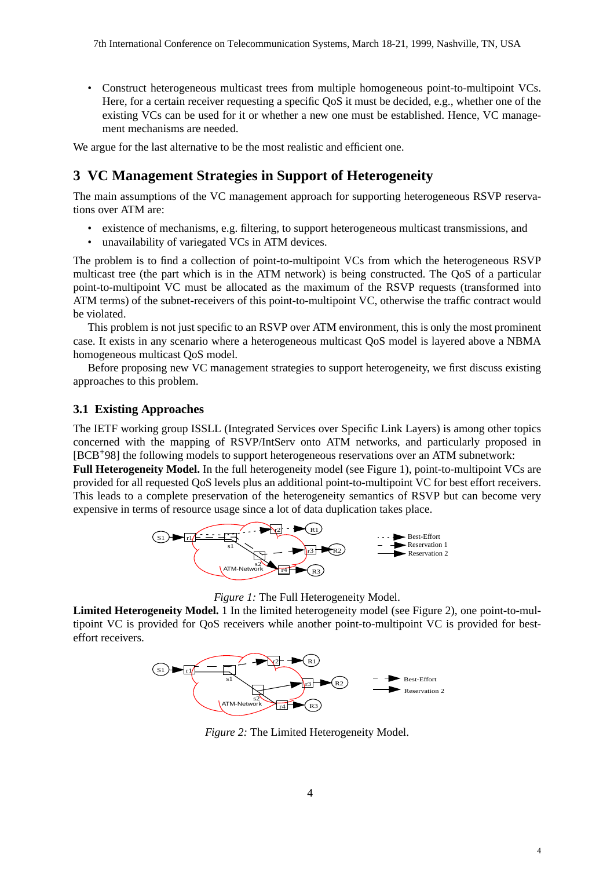<span id="page-3-0"></span>• Construct heterogeneous multicast trees from multiple homogeneous point-to-multipoint VCs. Here, for a certain receiver requesting a specific QoS it must be decided, e.g., whether one of the existing VCs can be used for it or whether a new one must be established. Hence, VC management mechanisms are needed.

We argue for the last alternative to be the most realistic and efficient one.

## **3 VC Management Strategies in Support of Heterogeneity**

The main assumptions of the VC management approach for supporting heterogeneous RSVP reservations over ATM are:

- existence of mechanisms, e.g. filtering, to support heterogeneous multicast transmissions, and
- unavailability of variegated VCs in ATM devices.

The problem is to find a collection of point-to-multipoint VCs from which the heterogeneous RSVP multicast tree (the part which is in the ATM network) is being constructed. The QoS of a particular point-to-multipoint VC must be allocated as the maximum of the RSVP requests (transformed into ATM terms) of the subnet-receivers of this point-to-multipoint VC, otherwise the traffic contract would be violated.

This problem is not just specific to an RSVP over ATM environment, this is only the most prominent case. It exists in any scenario where a heterogeneous multicast QoS model is layered above a NBMA homogeneous multicast QoS model.

Before proposing new VC management strategies to support heterogeneity, we first discuss existing approaches to this problem.

## **3.1 Existing Approaches**

The IETF working group ISSLL (Integrated Services over Specific Link Layers) is among other topics concerned with the mapping of RSVP/IntServ onto ATM networks, and particularly proposed in [BCB+98] the following models to support heterogeneous reservations over an ATM subnetwork:

**Full Heterogeneity Model.** In the full heterogeneity model (see Figure 1), point-to-multipoint VCs are provided for all requested QoS levels plus an additional point-to-multipoint VC for best effort receivers. This leads to a complete preservation of the heterogeneity semantics of RSVP but can become very expensive in terms of resource usage since a lot of data duplication takes place.





**Limited Heterogeneity Model.** 1 In the limited heterogeneity model (see Figure 2), one point-to-multipoint VC is provided for QoS receivers while another point-to-multipoint VC is provided for besteffort receivers.



*Figure 2:* The Limited Heterogeneity Model.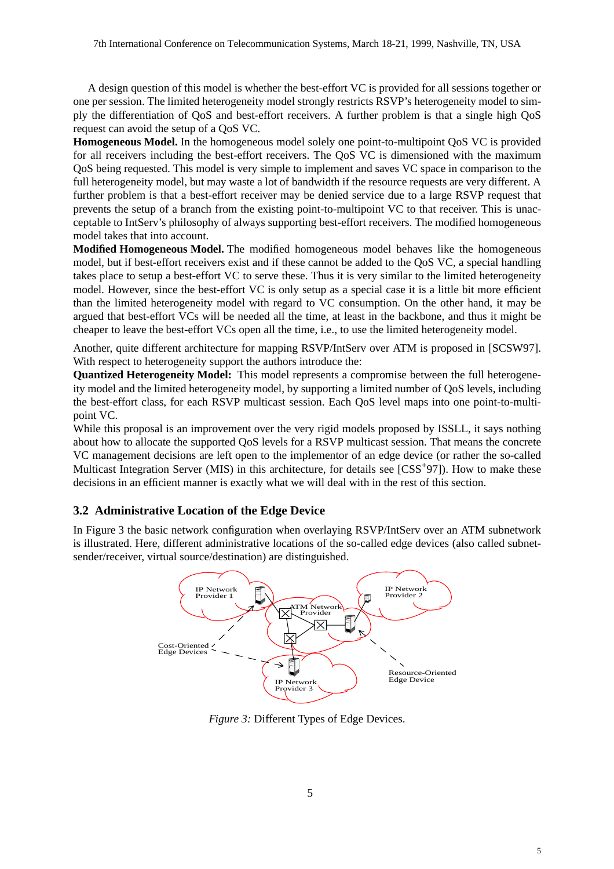A design question of this model is whether the best-effort VC is provided for all sessions together or one per session. The limited heterogeneity model strongly restricts RSVP's heterogeneity model to simply the differentiation of QoS and best-effort receivers. A further problem is that a single high QoS request can avoid the setup of a QoS VC.

**Homogeneous Model.** In the homogeneous model solely one point-to-multipoint QoS VC is provided for all receivers including the best-effort receivers. The QoS VC is dimensioned with the maximum QoS being requested. This model is very simple to implement and saves VC space in comparison to the full heterogeneity model, but may waste a lot of bandwidth if the resource requests are very different. A further problem is that a best-effort receiver may be denied service due to a large RSVP request that prevents the setup of a branch from the existing point-to-multipoint VC to that receiver. This is unacceptable to IntServ's philosophy of always supporting best-effort receivers. The modified homogeneous model takes that into account.

**Modified Homogeneous Model.** The modified homogeneous model behaves like the homogeneous model, but if best-effort receivers exist and if these cannot be added to the QoS VC, a special handling takes place to setup a best-effort VC to serve these. Thus it is very similar to the limited heterogeneity model. However, since the best-effort VC is only setup as a special case it is a little bit more efficient than the limited heterogeneity model with regard to VC consumption. On the other hand, it may be argued that best-effort VCs will be needed all the time, at least in the backbone, and thus it might be cheaper to leave the best-effort VCs open all the time, i.e., to use the limited heterogeneity model.

Another, quite different architecture for mapping RSVP/IntServ over ATM is proposed in [SCSW97]. With respect to heterogeneity support the authors introduce the:

**Quantized Heterogeneity Model:** This model represents a compromise between the full heterogeneity model and the limited heterogeneity model, by supporting a limited number of QoS levels, including the best-effort class, for each RSVP multicast session. Each QoS level maps into one point-to-multipoint VC.

While this proposal is an improvement over the very rigid models proposed by ISSLL, it says nothing about how to allocate the supported QoS levels for a RSVP multicast session. That means the concrete VC management decisions are left open to the implementor of an edge device (or rather the so-called Multicast Integration Server (MIS) in this architecture, for details see  $[CSS<sup>+</sup>97]$ ). How to make these decisions in an efficient manner is exactly what we will deal with in the rest of this section.

## **3.2 Administrative Location of the Edge Device**

In Figure 3 the basic network configuration when overlaying RSVP/IntServ over an ATM subnetwork is illustrated. Here, different administrative locations of the so-called edge devices (also called subnetsender/receiver, virtual source/destination) are distinguished.



*Figure 3:* Different Types of Edge Devices.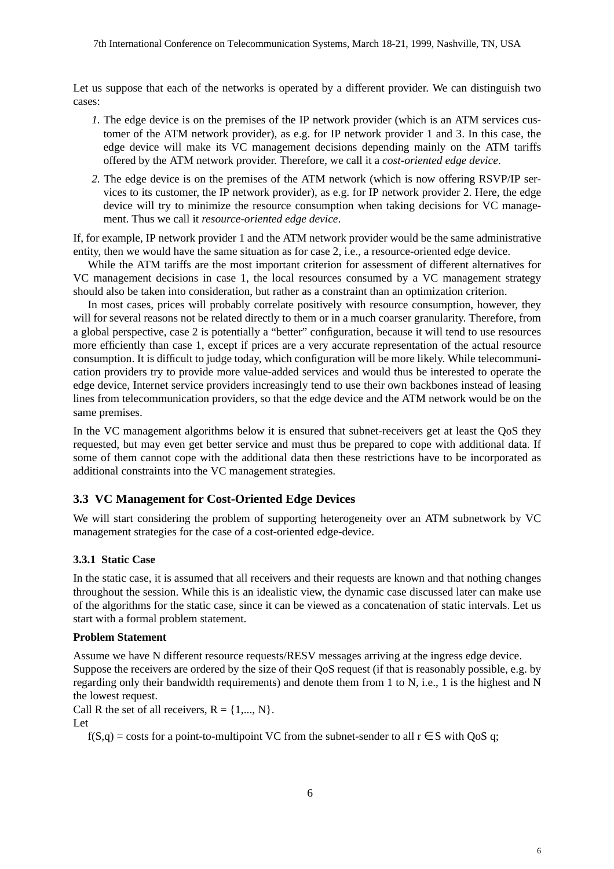Let us suppose that each of the networks is operated by a different provider. We can distinguish two cases:

- *1.* The edge device is on the premises of the IP network provider (which is an ATM services customer of the ATM network provider), as e.g. for IP network provider 1 and 3. In this case, the edge device will make its VC management decisions depending mainly on the ATM tariffs offered by the ATM network provider. Therefore, we call it a *cost-oriented edge device*.
- *2.* The edge device is on the premises of the ATM network (which is now offering RSVP/IP services to its customer, the IP network provider), as e.g. for IP network provider 2. Here, the edge device will try to minimize the resource consumption when taking decisions for VC management. Thus we call it *resource-oriented edge device*.

If, for example, IP network provider 1 and the ATM network provider would be the same administrative entity, then we would have the same situation as for case 2, i.e., a resource-oriented edge device.

While the ATM tariffs are the most important criterion for assessment of different alternatives for VC management decisions in case 1, the local resources consumed by a VC management strategy should also be taken into consideration, but rather as a constraint than an optimization criterion.

In most cases, prices will probably correlate positively with resource consumption, however, they will for several reasons not be related directly to them or in a much coarser granularity. Therefore, from a global perspective, case 2 is potentially a "better" configuration, because it will tend to use resources more efficiently than case 1, except if prices are a very accurate representation of the actual resource consumption. It is difficult to judge today, which configuration will be more likely. While telecommunication providers try to provide more value-added services and would thus be interested to operate the edge device, Internet service providers increasingly tend to use their own backbones instead of leasing lines from telecommunication providers, so that the edge device and the ATM network would be on the same premises.

In the VC management algorithms below it is ensured that subnet-receivers get at least the QoS they requested, but may even get better service and must thus be prepared to cope with additional data. If some of them cannot cope with the additional data then these restrictions have to be incorporated as additional constraints into the VC management strategies.

## **3.3 VC Management for Cost-Oriented Edge Devices**

We will start considering the problem of supporting heterogeneity over an ATM subnetwork by VC management strategies for the case of a cost-oriented edge-device.

### **3.3.1 Static Case**

In the static case, it is assumed that all receivers and their requests are known and that nothing changes throughout the session. While this is an idealistic view, the dynamic case discussed later can make use of the algorithms for the static case, since it can be viewed as a concatenation of static intervals. Let us start with a formal problem statement.

#### **Problem Statement**

Assume we have N different resource requests/RESV messages arriving at the ingress edge device. Suppose the receivers are ordered by the size of their QoS request (if that is reasonably possible, e.g. by regarding only their bandwidth requirements) and denote them from 1 to N, i.e., 1 is the highest and N the lowest request.

Call R the set of all receivers,  $R = \{1, ..., N\}$ .

Let

f(S,q) = costs for a point-to-multipoint VC from the subnet-sender to all  $r \in S$  with QoS q;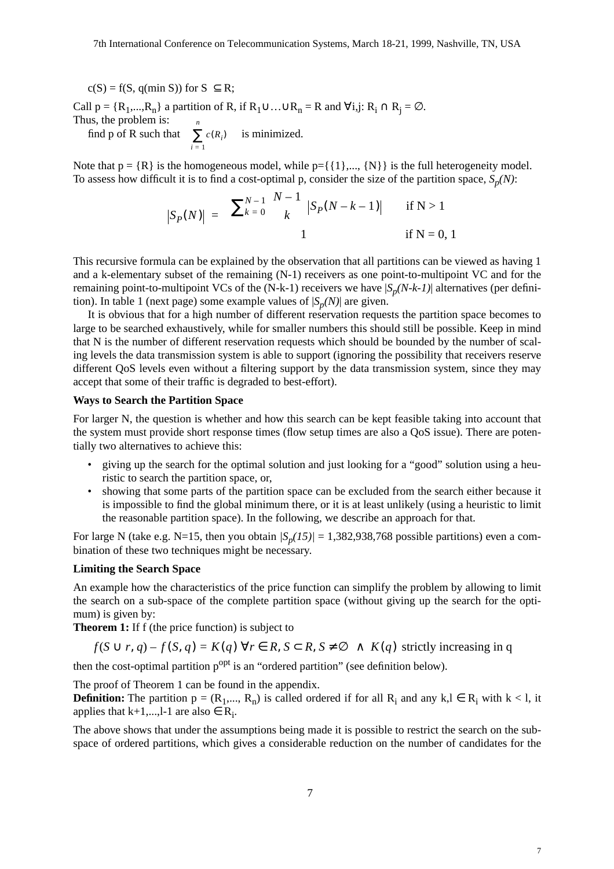$c(S) = f(S, q(min S))$  for  $S \subseteq R$ ;

Call  $p = \{R_1, ..., R_n\}$  a partition of R, if  $R_1 \cup ... \cup R_n = R$  and  $\forall i, j: R_i \cap R_j = \emptyset$ . Thus, the problem is: *n*

find p of R such that  $\sum c(R_i)$  is minimized. *i* = 1 ∑

Note that  $p = \{R\}$  is the homogeneous model, while  $p = \{\{1\},..., \{N\}\}\$ is the full heterogeneity model. To assess how difficult it is to find a cost-optimal p, consider the size of the partition space,  $S_n(N)$ :

$$
|S_P(N)| = \begin{cases} \sum_{k=0}^{N-1} {N-1 \choose k} |S_P(N-k-1)| & \text{if } N > 1 \\ 1 & \text{if } N = 0, 1 \end{cases}
$$

This recursive formula can be explained by the observation that all partitions can be viewed as having 1 and a k-elementary subset of the remaining (N-1) receivers as one point-to-multipoint VC and for the remaining point-to-multipoint VCs of the  $(N-k-1)$  receivers we have  $|S_n(N-k-1)|$  alternatives (per definition). In [table 1 \(](#page-7-0)next page) some example values of  $|S_p(N)|$  are given.

It is obvious that for a high number of different reservation requests the partition space becomes to large to be searched exhaustively, while for smaller numbers this should still be possible. Keep in mind that N is the number of different reservation requests which should be bounded by the number of scaling levels the data transmission system is able to support (ignoring the possibility that receivers reserve different QoS levels even without a filtering support by the data transmission system, since they may accept that some of their traffic is degraded to best-effort).

#### **Ways to Search the Partition Space**

For larger N, the question is whether and how this search can be kept feasible taking into account that the system must provide short response times (flow setup times are also a QoS issue). There are potentially two alternatives to achieve this:

- giving up the search for the optimal solution and just looking for a "good" solution using a heuristic to search the partition space, or,
- showing that some parts of the partition space can be excluded from the search either because it is impossible to find the global minimum there, or it is at least unlikely (using a heuristic to limit the reasonable partition space). In the following, we describe an approach for that.

For large N (take e.g. N=15, then you obtain  $|S_p(15)| = 1,382,938,768$  possible partitions) even a combination of these two techniques might be necessary.

#### **Limiting the Search Space**

An example how the characteristics of the price function can simplify the problem by allowing to limit the search on a sub-space of the complete partition space (without giving up the search for the optimum) is given by:

**Theorem 1:** If f (the price function) is subject to

$$
f(S \cup r, q) - f(S, q) = K(q) \forall r \in R, S \subset R, S \neq \emptyset \land K(q)
$$
 strictly increasing in q

then the cost-optimal partition  $p^{opt}$  is an "ordered partition" (see definition below).

The proof of Theorem 1 can be found in the appendix.

**Definition:** The partition  $p = (R_1, ..., R_n)$  is called ordered if for all  $R_i$  and any  $k, l \in R_i$  with  $k < l$ , it applies that  $k+1,...,l-1$  are also  $\in R_i$ .

The above shows that under the assumptions being made it is possible to restrict the search on the subspace of ordered partitions, which gives a considerable reduction on the number of candidates for the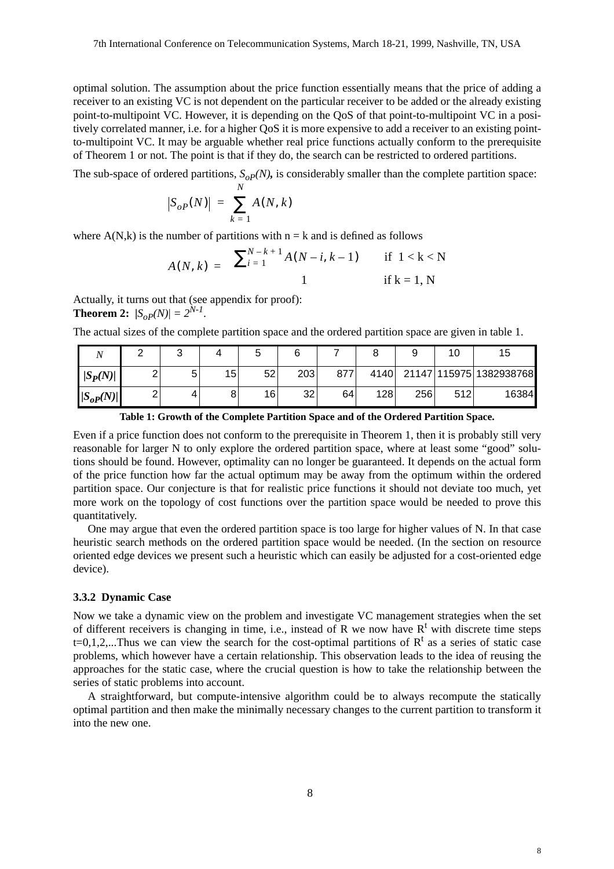<span id="page-7-0"></span>optimal solution. The assumption about the price function essentially means that the price of adding a receiver to an existing VC is not dependent on the particular receiver to be added or the already existing point-to-multipoint VC. However, it is depending on the QoS of that point-to-multipoint VC in a positively correlated manner, i.e. for a higher QoS it is more expensive to add a receiver to an existing pointto-multipoint VC. It may be arguable whether real price functions actually conform to the prerequisite of Theorem 1 or not. The point is that if they do, the search can be restricted to ordered partitions.

The sub-space of ordered partitions,  $S_{\rho P}(N)$ *,* is considerably smaller than the complete partition space:

$$
|S_{oP}(N)| = \sum_{k=1}^{N} A(N, k)
$$

where  $A(N,k)$  is the number of partitions with  $n = k$  and is defined as follows

$$
A(N,k) = \begin{cases} \sum_{i=1}^{N-k+1} A(N-i, k-1) & \text{if } 1 < k < N \\ 1 & \text{if } k = 1, N \end{cases}
$$

Actually, it turns out that (see appendix for proof): **Theorem 2:**  $|S_{\rho P}(N)| = 2^{N-1}$ .

The actual sizes of the complete partition space and the ordered partition space are given in table 1.

| N             |   |                 |    |     |     |      |     | 10  | 15                      |
|---------------|---|-----------------|----|-----|-----|------|-----|-----|-------------------------|
| $ S_P(N) $    | ⌒ | 15 <sub>1</sub> | 52 | 203 | 877 | 4140 |     |     | 21147 115975 1382938768 |
| $ S_{oP}(N) $ | ⌒ |                 | 16 | 32  | 64  | 128  | 256 | 512 | 16384                   |

**Table 1: Growth of the Complete Partition Space and of the Ordered Partition Space.**

Even if a price function does not conform to the prerequisite in Theorem 1, then it is probably still very reasonable for larger N to only explore the ordered partition space, where at least some "good" solutions should be found. However, optimality can no longer be guaranteed. It depends on the actual form of the price function how far the actual optimum may be away from the optimum within the ordered partition space. Our conjecture is that for realistic price functions it should not deviate too much, yet more work on the topology of cost functions over the partition space would be needed to prove this quantitatively.

One may argue that even the ordered partition space is too large for higher values of N. In that case heuristic search methods on the ordered partition space would be needed. (In the section on resource oriented edge devices we present such a heuristic which can easily be adjusted for a cost-oriented edge device).

#### **3.3.2 Dynamic Case**

Now we take a dynamic view on the problem and investigate VC management strategies when the set of different receivers is changing in time, i.e., instead of R we now have  $R<sup>t</sup>$  with discrete time steps t=0,1,2,...Thus we can view the search for the cost-optimal partitions of  $R<sup>t</sup>$  as a series of static case problems, which however have a certain relationship. This observation leads to the idea of reusing the approaches for the static case, where the crucial question is how to take the relationship between the series of static problems into account.

A straightforward, but compute-intensive algorithm could be to always recompute the statically optimal partition and then make the minimally necessary changes to the current partition to transform it into the new one.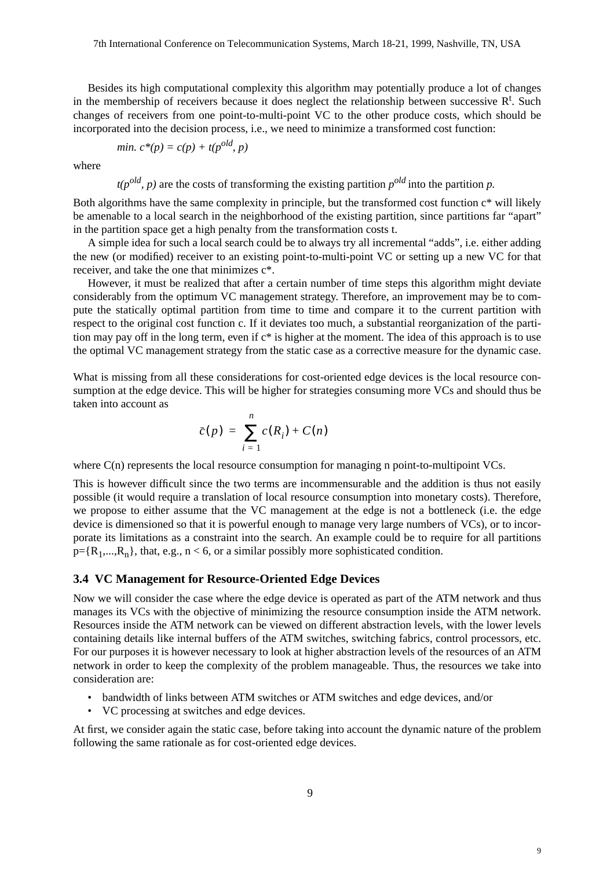Besides its high computational complexity this algorithm may potentially produce a lot of changes in the membership of receivers because it does neglect the relationship between successive  $R<sup>t</sup>$ . Such changes of receivers from one point-to-multi-point VC to the other produce costs, which should be incorporated into the decision process, i.e., we need to minimize a transformed cost function:

$$
min. c*(p) = c(p) + t(pold, p)
$$

where

 $t(p^{old}, p)$  are the costs of transforming the existing partition  $p^{old}$  into the partition *p*.

Both algorithms have the same complexity in principle, but the transformed cost function  $c^*$  will likely be amenable to a local search in the neighborhood of the existing partition, since partitions far "apart" in the partition space get a high penalty from the transformation costs t.

A simple idea for such a local search could be to always try all incremental "adds", i.e. either adding the new (or modified) receiver to an existing point-to-multi-point VC or setting up a new VC for that receiver, and take the one that minimizes c\*.

However, it must be realized that after a certain number of time steps this algorithm might deviate considerably from the optimum VC management strategy. Therefore, an improvement may be to compute the statically optimal partition from time to time and compare it to the current partition with respect to the original cost function c. If it deviates too much, a substantial reorganization of the partition may pay off in the long term, even if c\* is higher at the moment. The idea of this approach is to use the optimal VC management strategy from the static case as a corrective measure for the dynamic case.

What is missing from all these considerations for cost-oriented edge devices is the local resource consumption at the edge device. This will be higher for strategies consuming more VCs and should thus be taken into account as

$$
\bar{c}(p) = \sum_{i=1}^{n} c(R_i) + C(n)
$$

where  $C(n)$  represents the local resource consumption for managing n point-to-multipoint VCs.

This is however difficult since the two terms are incommensurable and the addition is thus not easily possible (it would require a translation of local resource consumption into monetary costs). Therefore, we propose to either assume that the VC management at the edge is not a bottleneck (i.e. the edge device is dimensioned so that it is powerful enough to manage very large numbers of VCs), or to incorporate its limitations as a constraint into the search. An example could be to require for all partitions  $p = {R_1,...,R_n}$ , that, e.g.,  $n < 6$ , or a similar possibly more sophisticated condition.

#### **3.4 VC Management for Resource-Oriented Edge Devices**

Now we will consider the case where the edge device is operated as part of the ATM network and thus manages its VCs with the objective of minimizing the resource consumption inside the ATM network. Resources inside the ATM network can be viewed on different abstraction levels, with the lower levels containing details like internal buffers of the ATM switches, switching fabrics, control processors, etc. For our purposes it is however necessary to look at higher abstraction levels of the resources of an ATM network in order to keep the complexity of the problem manageable. Thus, the resources we take into consideration are:

- bandwidth of links between ATM switches or ATM switches and edge devices, and/or
- VC processing at switches and edge devices.

At first, we consider again the static case, before taking into account the dynamic nature of the problem following the same rationale as for cost-oriented edge devices.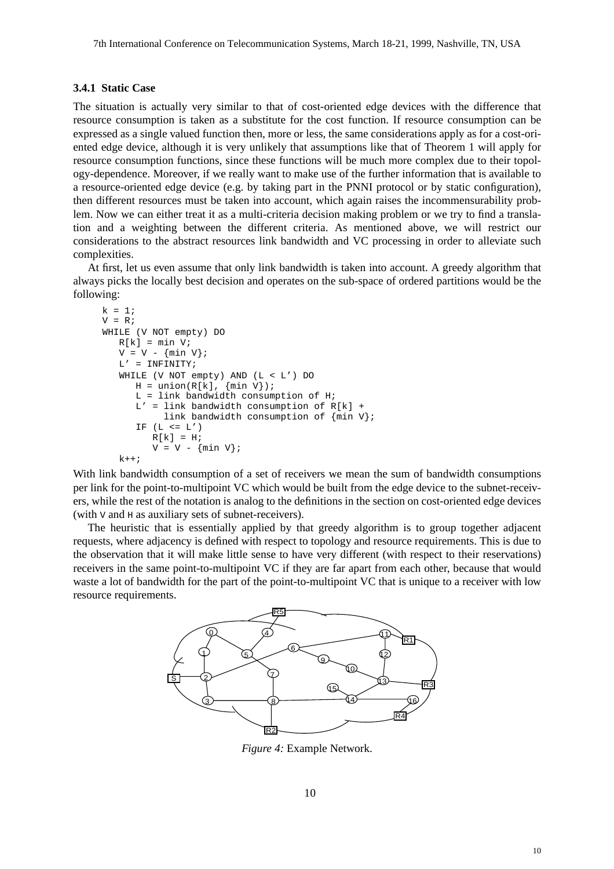#### <span id="page-9-0"></span>**3.4.1 Static Case**

The situation is actually very similar to that of cost-oriented edge devices with the difference that resource consumption is taken as a substitute for the cost function. If resource consumption can be expressed as a single valued function then, more or less, the same considerations apply as for a cost-oriented edge device, although it is very unlikely that assumptions like that of Theorem 1 will apply for resource consumption functions, since these functions will be much more complex due to their topology-dependence. Moreover, if we really want to make use of the further information that is available to a resource-oriented edge device (e.g. by taking part in the PNNI protocol or by static configuration), then different resources must be taken into account, which again raises the incommensurability problem. Now we can either treat it as a multi-criteria decision making problem or we try to find a translation and a weighting between the different criteria. As mentioned above, we will restrict our considerations to the abstract resources link bandwidth and VC processing in order to alleviate such complexities.

At first, let us even assume that only link bandwidth is taken into account. A greedy algorithm that always picks the locally best decision and operates on the sub-space of ordered partitions would be the following:

```
k = 1;V = R;
WHILE (V NOT empty) DO
   R[k] = min V;
   V = V - \{min V\};L' = INFINITEWHILE (V NOT empty) AND (L < L') DO
      H = union(R[k], \{min V\});
      L = link bandwidth consumption of H;
      L' = link bandwidth consumption of R[k] +link bandwidth consumption of {min V};
      IF (L \leq L')R[k] = H;
         V = V - \{min V\};k++;
```
With link bandwidth consumption of a set of receivers we mean the sum of bandwidth consumptions per link for the point-to-multipoint VC which would be built from the edge device to the subnet-receivers, while the rest of the notation is analog to the definitions in the section on cost-oriented edge devices (with V and H as auxiliary sets of subnet-receivers).

The heuristic that is essentially applied by that greedy algorithm is to group together adjacent requests, where adjacency is defined with respect to topology and resource requirements. This is due to the observation that it will make little sense to have very different (with respect to their reservations) receivers in the same point-to-multipoint VC if they are far apart from each other, because that would waste a lot of bandwidth for the part of the point-to-multipoint VC that is unique to a receiver with low resource requirements.



*Figure 4:* Example Network.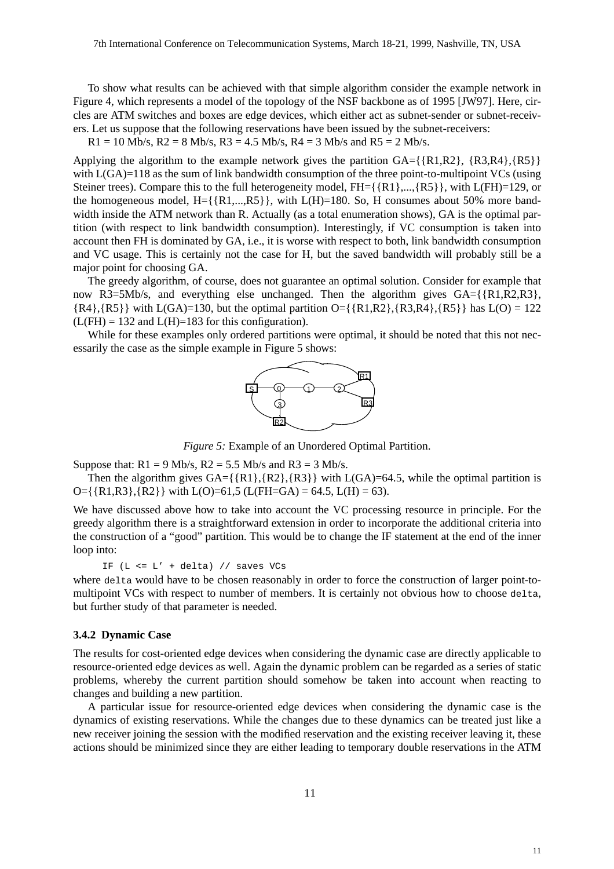To show what results can be achieved with that simple algorithm consider the example network in [Figure 4,](#page-9-0) which represents a model of the topology of the NSF backbone as of 1995 [JW97]. Here, circles are ATM switches and boxes are edge devices, which either act as subnet-sender or subnet-receivers. Let us suppose that the following reservations have been issued by the subnet-receivers:

 $R1 = 10$  Mb/s,  $R2 = 8$  Mb/s,  $R3 = 4.5$  Mb/s,  $R4 = 3$  Mb/s and  $R5 = 2$  Mb/s.

Applying the algorithm to the example network gives the partition  $GA={R1,R2}$ ,  ${R3,R4}$ ,  ${R5}$ } with L(GA)=118 as the sum of link bandwidth consumption of the three point-to-multipoint VCs (using Steiner trees). Compare this to the full heterogeneity model,  $FH=\{R1\},..., \{R5\}\}\,$  with  $L(FH)=129$ , or the homogeneous model,  $H = \{R1, \ldots, R5\}$ , with  $L(H) = 180$ . So, H consumes about 50% more bandwidth inside the ATM network than R. Actually (as a total enumeration shows), GA is the optimal partition (with respect to link bandwidth consumption). Interestingly, if VC consumption is taken into account then FH is dominated by GA, i.e., it is worse with respect to both, link bandwidth consumption and VC usage. This is certainly not the case for H, but the saved bandwidth will probably still be a major point for choosing GA.

The greedy algorithm, of course, does not guarantee an optimal solution. Consider for example that now R3=5Mb/s, and everything else unchanged. Then the algorithm gives  $GA={R1,R2,R3}$ ,  ${R4}, {R5}$  with L(GA)=130, but the optimal partition O={ ${R1,R2}, {R3,R4}, {R5}$ } has L(O) = 122  $(L(FH) = 132$  and  $L(H)=183$  for this configuration).

While for these examples only ordered partitions were optimal, it should be noted that this not necessarily the case as the simple example in Figure 5 shows:



*Figure 5:* Example of an Unordered Optimal Partition.

Suppose that:  $R1 = 9$  Mb/s,  $R2 = 5.5$  Mb/s and  $R3 = 3$  Mb/s.

Then the algorithm gives  $GA={R1},{R2},{R3}$  with  $L(GA)=64.5$ , while the optimal partition is  $O=\{\{R1,R3\},\{R2\}\}\$  with  $L(O)=61,5$  ( $L(FH=GA) = 64.5$ ,  $L(H) = 63$ ).

We have discussed above how to take into account the VC processing resource in principle. For the greedy algorithm there is a straightforward extension in order to incorporate the additional criteria into the construction of a "good" partition. This would be to change the IF statement at the end of the inner loop into:

IF (L  $\leq$  L' + delta) // saves VCs

where delta would have to be chosen reasonably in order to force the construction of larger point-tomultipoint VCs with respect to number of members. It is certainly not obvious how to choose delta, but further study of that parameter is needed.

#### **3.4.2 Dynamic Case**

The results for cost-oriented edge devices when considering the dynamic case are directly applicable to resource-oriented edge devices as well. Again the dynamic problem can be regarded as a series of static problems, whereby the current partition should somehow be taken into account when reacting to changes and building a new partition.

A particular issue for resource-oriented edge devices when considering the dynamic case is the dynamics of existing reservations. While the changes due to these dynamics can be treated just like a new receiver joining the session with the modified reservation and the existing receiver leaving it, these actions should be minimized since they are either leading to temporary double reservations in the ATM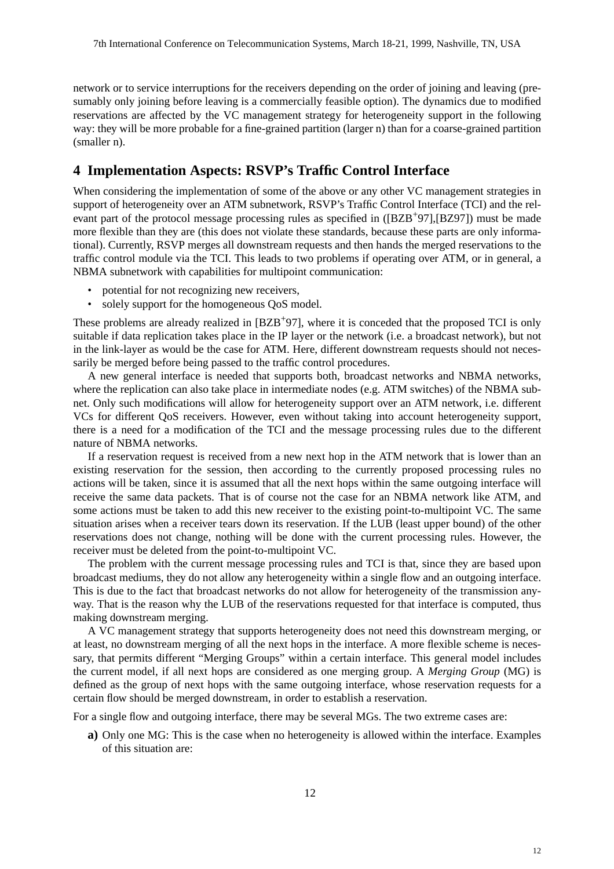<span id="page-11-0"></span>network or to service interruptions for the receivers depending on the order of joining and leaving (presumably only joining before leaving is a commercially feasible option). The dynamics due to modified reservations are affected by the VC management strategy for heterogeneity support in the following way: they will be more probable for a fine-grained partition (larger n) than for a coarse-grained partition (smaller n).

## **4 Implementation Aspects: RSVP's Traffic Control Interface**

When considering the implementation of some of the above or any other VC management strategies in support of heterogeneity over an ATM subnetwork, RSVP's Traffic Control Interface (TCI) and the relevant part of the protocol message processing rules as specified in ([BZB<sup>+</sup>97],[BZ97]) must be made more flexible than they are (this does not violate these standards, because these parts are only informational). Currently, RSVP merges all downstream requests and then hands the merged reservations to the traffic control module via the TCI. This leads to two problems if operating over ATM, or in general, a NBMA subnetwork with capabilities for multipoint communication:

- potential for not recognizing new receivers,
- solely support for the homogeneous QoS model.

These problems are already realized in  $[2B+97]$ , where it is conceded that the proposed TCI is only suitable if data replication takes place in the IP layer or the network (i.e. a broadcast network), but not in the link-layer as would be the case for ATM. Here, different downstream requests should not necessarily be merged before being passed to the traffic control procedures.

A new general interface is needed that supports both, broadcast networks and NBMA networks, where the replication can also take place in intermediate nodes (e.g. ATM switches) of the NBMA subnet. Only such modifications will allow for heterogeneity support over an ATM network, i.e. different VCs for different QoS receivers. However, even without taking into account heterogeneity support, there is a need for a modification of the TCI and the message processing rules due to the different nature of NBMA networks.

If a reservation request is received from a new next hop in the ATM network that is lower than an existing reservation for the session, then according to the currently proposed processing rules no actions will be taken, since it is assumed that all the next hops within the same outgoing interface will receive the same data packets. That is of course not the case for an NBMA network like ATM, and some actions must be taken to add this new receiver to the existing point-to-multipoint VC. The same situation arises when a receiver tears down its reservation. If the LUB (least upper bound) of the other reservations does not change, nothing will be done with the current processing rules. However, the receiver must be deleted from the point-to-multipoint VC.

The problem with the current message processing rules and TCI is that, since they are based upon broadcast mediums, they do not allow any heterogeneity within a single flow and an outgoing interface. This is due to the fact that broadcast networks do not allow for heterogeneity of the transmission anyway. That is the reason why the LUB of the reservations requested for that interface is computed, thus making downstream merging.

A VC management strategy that supports heterogeneity does not need this downstream merging, or at least, no downstream merging of all the next hops in the interface. A more flexible scheme is necessary, that permits different "Merging Groups" within a certain interface. This general model includes the current model, if all next hops are considered as one merging group. A *Merging Group* (MG) is defined as the group of next hops with the same outgoing interface, whose reservation requests for a certain flow should be merged downstream, in order to establish a reservation.

For a single flow and outgoing interface, there may be several MGs. The two extreme cases are:

**a)** Only one MG: This is the case when no heterogeneity is allowed within the interface. Examples of this situation are: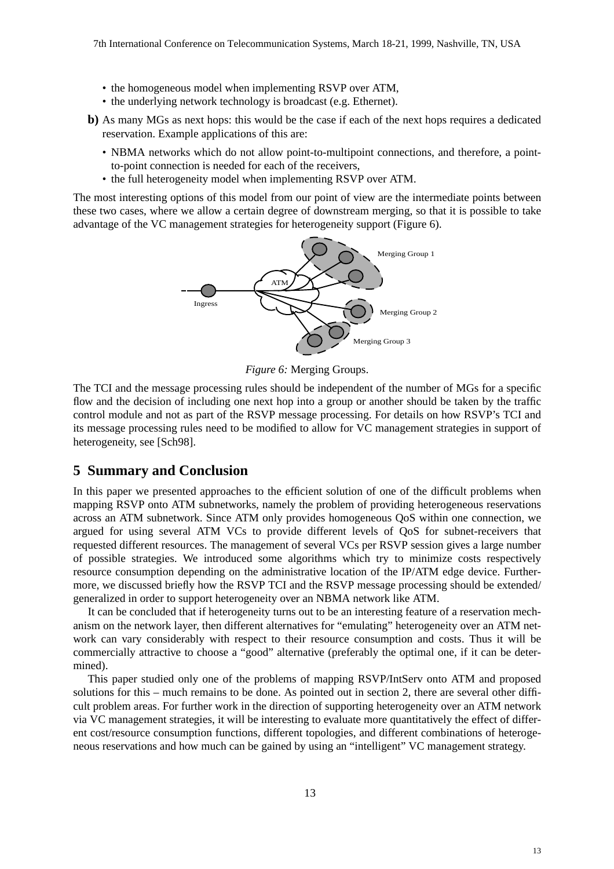- <span id="page-12-0"></span>• the homogeneous model when implementing RSVP over ATM,
- the underlying network technology is broadcast (e.g. Ethernet).
- **b)** As many MGs as next hops: this would be the case if each of the next hops requires a dedicated reservation. Example applications of this are:
	- NBMA networks which do not allow point-to-multipoint connections, and therefore, a pointto-point connection is needed for each of the receivers,
	- the full heterogeneity model when implementing RSVP over ATM.

The most interesting options of this model from our point of view are the intermediate points between these two cases, where we allow a certain degree of downstream merging, so that it is possible to take advantage of the VC management strategies for heterogeneity support (Figure 6).



*Figure 6:* Merging Groups.

The TCI and the message processing rules should be independent of the number of MGs for a specific flow and the decision of including one next hop into a group or another should be taken by the traffic control module and not as part of the RSVP message processing. For details on how RSVP's TCI and its message processing rules need to be modified to allow for VC management strategies in support of heterogeneity, see [Sch98].

## **5 Summary and Conclusion**

In this paper we presented approaches to the efficient solution of one of the difficult problems when mapping RSVP onto ATM subnetworks, namely the problem of providing heterogeneous reservations across an ATM subnetwork. Since ATM only provides homogeneous QoS within one connection, we argued for using several ATM VCs to provide different levels of QoS for subnet-receivers that requested different resources. The management of several VCs per RSVP session gives a large number of possible strategies. We introduced some algorithms which try to minimize costs respectively resource consumption depending on the administrative location of the IP/ATM edge device. Furthermore, we discussed briefly how the RSVP TCI and the RSVP message processing should be extended/ generalized in order to support heterogeneity over an NBMA network like ATM.

It can be concluded that if heterogeneity turns out to be an interesting feature of a reservation mechanism on the network layer, then different alternatives for "emulating" heterogeneity over an ATM network can vary considerably with respect to their resource consumption and costs. Thus it will be commercially attractive to choose a "good" alternative (preferably the optimal one, if it can be determined).

This paper studied only one of the problems of mapping RSVP/IntServ onto ATM and proposed solutions for this – much remains to be done. As pointed out in [section 2](#page-1-0), there are several other difficult problem areas. For further work in the direction of supporting heterogeneity over an ATM network via VC management strategies, it will be interesting to evaluate more quantitatively the effect of different cost/resource consumption functions, different topologies, and different combinations of heterogeneous reservations and how much can be gained by using an "intelligent" VC management strategy.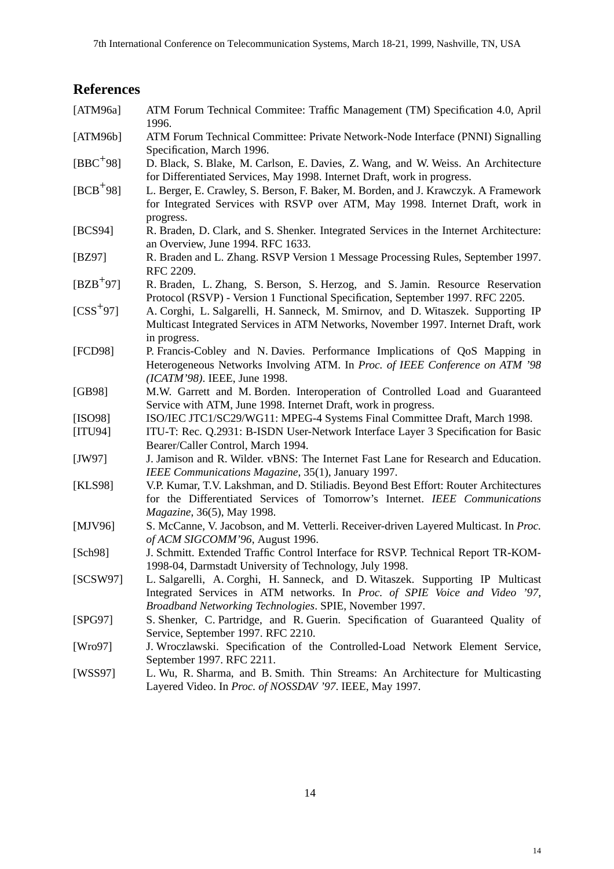## **References**

[ATM96a] ATM Forum Technical Commitee: Traffic Management (TM) Specification 4.0, April 1996. [ATM96b] ATM Forum Technical Committee: Private Network-Node Interface (PNNI) Signalling Specification, March 1996. [BBC+98] D. Black, S. Blake, M. Carlson, E. Davies, Z. Wang, and W. Weiss. An Architecture for Differentiated Services, May 1998. Internet Draft, work in progress. [BCB+98] L. Berger, E. Crawley, S. Berson, F. Baker, M. Borden, and J. Krawczyk. A Framework for Integrated Services with RSVP over ATM, May 1998. Internet Draft, work in progress. [BCS94] R. Braden, D. Clark, and S. Shenker. Integrated Services in the Internet Architecture: an Overview, June 1994. RFC 1633. [BZ97] R. Braden and L. Zhang. RSVP Version 1 Message Processing Rules, September 1997. RFC 2209. [BZB+97] R. Braden, L. Zhang, S. Berson, S. Herzog, and S. Jamin. Resource Reservation Protocol (RSVP) - Version 1 Functional Specification, September 1997. RFC 2205. [CSS+97] A. Corghi, L. Salgarelli, H. Sanneck, M. Smirnov, and D. Witaszek. Supporting IP Multicast Integrated Services in ATM Networks, November 1997. Internet Draft, work in progress. [FCD98] P. Francis-Cobley and N. Davies. Performance Implications of QoS Mapping in Heterogeneous Networks Involving ATM. In *Proc. of IEEE Conference on ATM '98 (ICATM'98)*. IEEE, June 1998. [GB98] M.W. Garrett and M. Borden. Interoperation of Controlled Load and Guaranteed Service with ATM, June 1998. Internet Draft, work in progress. [ISO98] ISO/IEC JTC1/SC29/WG11: MPEG-4 Systems Final Committee Draft, March 1998. [ITU94] ITU-T: Rec. Q.2931: B-ISDN User-Network Interface Layer 3 Specification for Basic Bearer/Caller Control, March 1994. [JW97] J. Jamison and R. Wilder. vBNS: The Internet Fast Lane for Research and Education. *IEEE Communications Magazine*, 35(1), January 1997. [KLS98] V.P. Kumar, T.V. Lakshman, and D. Stiliadis. Beyond Best Effort: Router Architectures for the Differentiated Services of Tomorrow's Internet. *IEEE Communications Magazine*, 36(5), May 1998. [MJV96] S. McCanne, V. Jacobson, and M. Vetterli. Receiver-driven Layered Multicast. In *Proc. of ACM SIGCOMM'96*, August 1996. [Sch98] J. Schmitt. Extended Traffic Control Interface for RSVP. Technical Report TR-KOM-1998-04, Darmstadt University of Technology, July 1998. [SCSW97] L. Salgarelli, A. Corghi, H. Sanneck, and D. Witaszek. Supporting IP Multicast Integrated Services in ATM networks. In *Proc. of SPIE Voice and Video '97, Broadband Networking Technologies*. SPIE, November 1997. [SPG97] S. Shenker, C. Partridge, and R. Guerin. Specification of Guaranteed Quality of Service, September 1997. RFC 2210. [Wro97] J. Wroczlawski. Specification of the Controlled-Load Network Element Service, September 1997. RFC 2211. [WSS97] L. Wu, R. Sharma, and B. Smith. Thin Streams: An Architecture for Multicasting Layered Video. In *Proc. of NOSSDAV '97*. IEEE, May 1997.